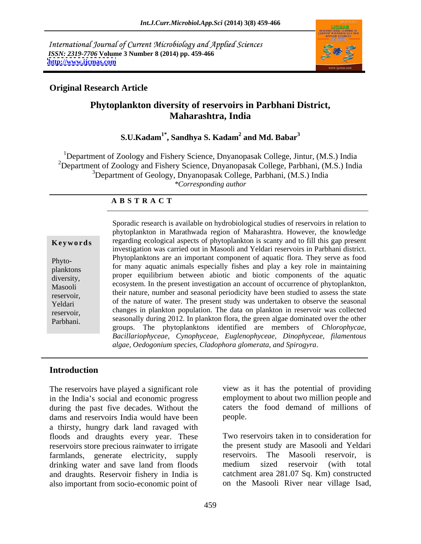International Journal of Current Microbiology and Applied Sciences *ISSN: 2319-7706* **Volume 3 Number 8 (2014) pp. 459-466 <http://www.ijcmas.com>**



# **Original Research Article**

# **Phytoplankton diversity of reservoirs in Parbhani District, Maharashtra, India**

### **S.U.Kadam1\* , Sandhya S. Kadam<sup>2</sup> and Md. Babar<sup>3</sup>**

<sup>1</sup>Department of Zoology and Fishery Science, Dnyanopasak College, Jintur,  $(M.S.)$  India <sup>2</sup>Department of Zoology and Fishery Science, Dnyanopasak College, Parbhani, (M.S.) India <sup>3</sup>Department of Geology, Dnyanopasak College, Parbhani, (M.S.) India *\*Corresponding author* 

### **A B S T R A C T**

**Keywords** regarding ecological aspects of phytoplankton is scanty and to fill this gap present Phyto- Phytoplanktons are an important component of aquatic flora. They serve as food planktons for many aquatic animals especially fishes and play a key role in maintaining diversity, proper equilibrium between abiotic and biotic components of the aquatic Masooli ecosystem. In the present investigation an account of occurrenceof phytoplankton, their nature, number and seasonal periodicity have been studied to assess the state<br>reservoir, Yeldari of the nature of water. The present study was undertaken to observe the seasonal reservoir, changes in plankton population. The data on plankton in reservoir was collected Parbhani. seasonally during 2012. In plankton flora, the green algae dominated over the other Sporadic research is available on hydrobiological studies of reservoirs in relation to phytoplankton in Marathwada region of Maharashtra. However, the knowledge investigation was carried out in Masooli and Yeldari reservoirs in Parbhani district. groups. The phytoplanktons identified are members of *Chlorophycae, Bacillariophyceae, Cynophyceae, Euglenophyceae, Dinophyceae, filamentous algae, Oedogonium species, Cladophora glomerata, and Spirogyra*.

## **Introduction**

The reservoirs have played a significant role in the India's social and economic progress during the past five decades. Without the dams and reservoirs India would have been people. a thirsty, hungry dark land ravaged with floods and draughts every year. These reservoirs store precious rainwater to irrigate the present study are Masooli and Yeldari farmlands, generate electricity, supply drinking water and save land from floods medium sized reservoir (with total and draughts. Reservoir fishery in India is also important from socio-economic point of on the Masooli River near village Isad,

view as it has the potential of providing employment to about two million people and caters the food demand of millions of people. The contract of the contract of the contract of the contract of the contract of the contract of the contract of the contract of the contract of the contract of the contract of the contract of the contract of the co

Two reservoirs taken in to consideration for reservoirs. The Masooli reservoir, is medium sized reservoir (with total catchment area 281.07 Sq. Km) constructed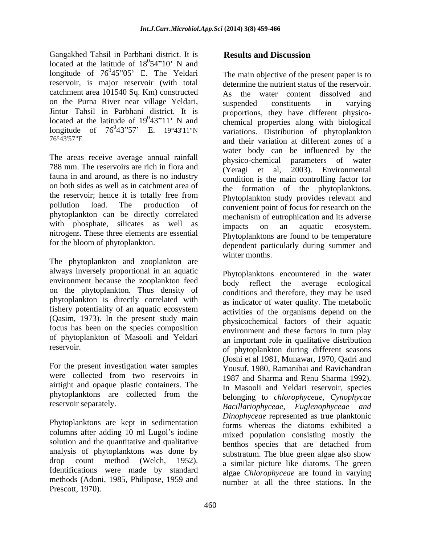Gangakhed Tahsil in Parbhani district. It is located at the latitude of  $18^054^{\prime\prime}10^{\prime}$  N and  $^{0}54"$  10'. N and  $54"10'$  N and longitude of  $76^045^005$ . E. The Yeldari The main objective of the present paper is to longitude of  $76^045^{\prime\prime}05$  E. The Yeldari catchment area 101540 Sq. Km) constructed on the Purna River near village Yeldari, Jintur Tahsil in Parbhani district. It is<br>located at the latitude of  $19^043''11'$  N and

The areas receive average annual rainfall by physico-chemical parameters of water 788 mm. The reservoirs are rich in flora and (Yeragi et al. fauna in and around, as there is no industry on both sides as well as in catchment area of phytoplankton can be directly correlated with phosphate, silicates as well as impacts on an aquatic ecosystem. nitrogen5. These three elements are essential

The phytoplankton and zooplankton are always inversely proportional in an aquatic environment because the zooplankton feed on the phytoplankton. Thus density of phytoplankton is directly correlated with fishery potentiality of an aquatic ecosystem focus has been on the species composition of phytoplankton of Masooli and Yeldari

For the present investigation water samples airtight and opaque plastic containers. The phytoplanktons are collected from the

Phytoplanktons are kept in sedimentation columns after adding 10 ml Lugol's iodine solution and the quantitative and qualitative analysis of phytoplanktons was done by Identifications were made by standard methods (Adoni, 1985, Philipose, 1959 and Prescott, 1970).

# **Results and Discussion**

reservoir, is major reservoir (with total determine the nutrient status of the reservoir. located at the latitude of  $19^043''11'$  N and chemical properties along with biological longitude of  $76^043^{\prime\prime}57$  E.  $19^043^{\prime}11^{\prime\prime}N$  variations. Distribution of phytoplankton 76°43'57"E and their variation at different zones of a the reservoir; hence it is totally free from  $\sum_{n=1}^{\infty}$  phytoplankton study provides relevant and pollution load. The production of convenient point of focus for research on the for the bloom of phytoplankton. <br>
dependent particularly during summer and As the water content dissolved and suspended constituents in varying proportions, they have different physico water body can be influenced by the physico-chemical parameters of water 2003). Environmental condition is the main controlling factor for the formation of the phytoplanktons. Phytoplankton study provides relevant and mechanism of eutrophication and its adverse impacts on an aquatic ecosystem. Phytoplanktons are found to be temperature winter months.

(Qasim, 1973). In the present study main physicochemical factors of their aquatic reservoir. of phytoplankton during different seasons were collected from two reservoirs in 1987 and Sharma and Renu Sharma 1992). reservoir separately. Bacillariophyceae, Euglenophyceae and drop count method (Welch, 1952). a similar picture like diatoms. The green Phytoplanktons encountered in the water body reflect the average ecological conditions and therefore, they may be used as indicator of water quality. The metabolic activities of the organisms depend on the environment and these factors in turn play an important role in qualitative distribution (Joshi et al 1981, Munawar, 1970, Qadri and Yousuf, 1980, Ramanibai and Ravichandran In Masooli and Yeldari reservoir, species belonging to *chlorophyceae, Cynophycae Bacillariophyceae, Euglenophyceae and Dinophyceae* represented as true planktonic forms whereas the diatoms exhibited a mixed population consisting mostly the benthos species that are detached from substratum. The blue green algae also show algae *Chlorophyceae* are found in varying number at all the three stations. In the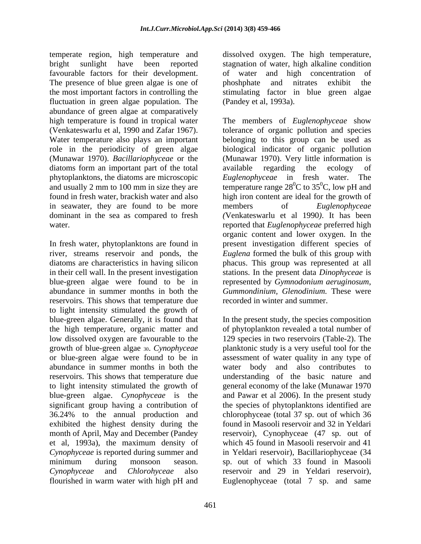temperate region, high temperature and dissolved oxygen. The high temperature, bright sunlight have been reported stagnation of water, high alkaline condition favourable factors for their development. The presence of blue green algae is one of phoshphate and nitrates exhibit the the most important factors in controlling the stimulating factor in blue green algae fluctuation in green algae population. The abundance of green algae at comparatively Water temperature also plays an important diatoms form an important part of the total available regarding the ecology of phytoplanktons, the diatoms are microscopic Euglenophyceae in fresh water. The in seawater, they are found to be more members of *Euglenophyceae* dominant in the sea as compared to fresh

In fresh water, phytoplanktons are found in present investigation different species of river, streams reservoir and ponds, the *Euglena* formed the bulk of this group with diatoms are characteristics in having silicon phacus. This group was represented at all in their cell wall. In the present investigation stations. In the present data *Dinophyceae* is blue-green algae were found to be in represented by *Gymnodonium aeruginosum*, abundance in summer months in both the *Gummondinium, Glenodinium.* These were reservoirs. This shows that temperature due to light intensity stimulated the growth of blue-green algae. Generally, it is found that In the present study, the species composition the high temperature, organic matter and of phytoplankton revealed a total number of low dissolved oxygen are favourable to the 129 species in two reservoirs (Table-2). The growth of blue-green algae 30. *Cynophyceae*  planktonic study is a very useful tool for the or blue-green algae were found to be in assessment of water quality in any type of abundance in summer months in both the water body and also contributes to reservoirs. This shows that temperature due understanding of the basic nature and to light intensity stimulated the growth of general economy of the lake (Munawar 1970 blue-green algae. *Cynophyceae* is the and Pawar et al 2006). In the present study significant group having a contribution of the species of phytoplanktons identified are 36.24% to the annual production and chlorophyceae (total 37 sp. out of which 36 exhibited the highest density during the month of April, May and December (Pandey reservoir), Cynophyceae (47 sp. out of et al, 1993a), the maximum density of *Cynophyceae* is reported during summer and minimum during monsoon season. sp. out of which 33 found in Masooli *Cynophyceae* and *Chlorohyceae* also reservoir and 29 in Yeldari reservoir), flourished in warm water with high pH and Euglenophyceae (total 7 sp. and same

of water and high concentration phoshphate and nitrates exhibit the (Pandey et al, 1993a).

high temperature is found in tropical water The members of *Euglenophyceae* show (Venkateswarlu et al, 1990 and Zafar 1967). tolerance of organic pollution and species role in the periodicity of green algae biological indicator of organic pollution (Munawar 1970). *Bacillariophyceae* or the (Munawar 1970). Very little information is and usually 2 mm to 100 mm in size they are temperature range  $28^{\circ}$ C to  $35^{\circ}$ C, low pH and found in fresh water, brackish water and also high iron content are ideal for the growth of water. reported that *Euglenophyceae* preferred high belonging to this group can be used as available regarding the ecology of *Euglenophyceae* in fresh water. members of *Euglenophyceae (*Venkateswarlu etal 1990*)*. It has been organic content and lower oxygen. In the recorded in winter and summer.

> found in Masooli reservoir and 32 in Yeldari which 45 found in Masooli reservoir and 41 in Yeldari reservoir), Bacillariophyceae (34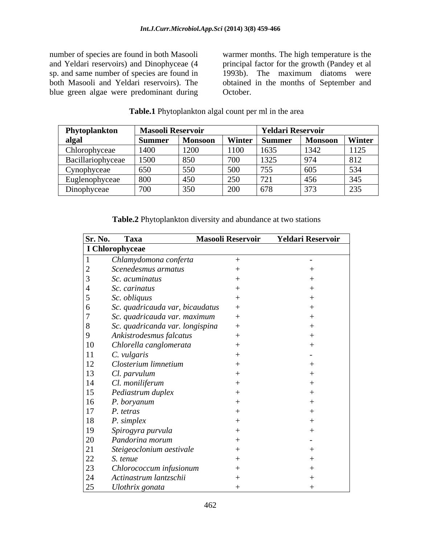number of species are found in both Masooli warmer months. The high temperature is the and Yeldari reservoirs) and Dinophyceae (4 principal factor for the growth (Pandey etal sp. and same number of species are found in 1993b). The maximum diatoms were both Masooli and Yeldari reservoirs). The obtained in the months of September and blue green algae were predominant during

October.

| Phytoplankton     | <b>Masooli Reservoir</b> |         |        | <b>Yeldari Reservoir</b> |                                         |                |  |
|-------------------|--------------------------|---------|--------|--------------------------|-----------------------------------------|----------------|--|
| algal             | Summer                   | Monsoon | Winter | <b>Summer</b>            | <b>Monsoon</b>                          | Winter         |  |
| Chlorophyceae     | 1400                     | 1200    | 1100   | 1635                     | 1342                                    | 1125           |  |
| Bacillariophyceae | 1500                     | 850     | 700    | 1325                     | 074                                     | 812            |  |
| Cynophyceae       | 650                      | 550     | 500    | 755                      | $\sim$ $\sim$ $\sim$<br>60 <sub>2</sub> | 53/<br>- - - - |  |
| Euglenophyceae    | 800                      | $\sim$  | 250    | 721<br>$\sqrt{2}$        | 156                                     | 345            |  |
| Dinophyceae       | 700                      |         | 200    | 678                      | $\sim$ $\sim$ $\sim$                    | 235<br>ر ر ب   |  |

## **Table.1** Phytoplankton algal count per ml in the area

**Table.2** Phytoplankton diversity and abundance at two stations

| Sr. No. | Taxa                            | <b>Masooli Reservoir</b> | <b>Yeldari Reservoir</b> |
|---------|---------------------------------|--------------------------|--------------------------|
|         | I Chlorophyceae                 |                          |                          |
|         | Chlamydomona conferta           |                          |                          |
|         | Scenedesmus armatus             |                          |                          |
|         | Sc. acuminatus                  |                          |                          |
|         | Sc. carinatus                   |                          |                          |
|         | Sc. obliquus                    |                          |                          |
|         | Sc. quadricauda var, bicaudatus |                          |                          |
|         | Sc. quadricauda var. maximum    |                          |                          |
| - 8     | Sc. quadricanda var. longispina |                          |                          |
|         | Ankistrodesmus falcatus         |                          |                          |
| 10      | Chlorella canglomerata          |                          |                          |
|         | C. vulgaris                     |                          |                          |
| 12      | Closterium limnetium            |                          |                          |
| 13      | Cl. parvulum                    |                          |                          |
| 14      | Cl. moniliferum                 |                          |                          |
| 15      | Pediastrum duplex               |                          |                          |
| 16      | P. boryanum                     |                          |                          |
| 17      | P. tetras                       |                          |                          |
| 18      | P. simplex                      |                          |                          |
| 19      | Spirogyra purvula               |                          |                          |
| 20      | Pandorina morum                 |                          |                          |
| 21      | Steigeoclonium aestivale        |                          |                          |
| 22      | S. tenue                        |                          |                          |
| 23      | Chlorococcum infusionum         |                          |                          |
| 24      | Actinastrum lantzschii          |                          |                          |
| 25      | Ulothrix gonata                 |                          |                          |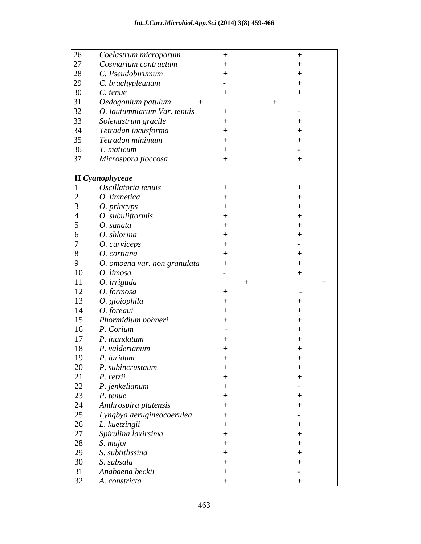| Coelastrum microporum<br>27<br>Cosmarium contractum<br>C. Pseudobirumum<br>C. brachypleunum<br>C. tenue<br>Oedogonium patulum<br>O. lautumniarum Var. tenuis<br>Solenastrum gracile<br>Tetradan incusforma<br>Tetradon minimum<br>T. maticum<br>Microspora floccosa<br>Oscillatoria tenuis<br>O. limnetica<br>O. princyps<br>O. subuliftormis<br>O. sanata<br>O. shlorina<br>O. curviceps<br>O. cortiana<br>O. omoena var. non granulata<br>O. limosa<br>O. irriguda<br>O. formosa<br>O. gloiophila<br>O. foreaui |  |
|-------------------------------------------------------------------------------------------------------------------------------------------------------------------------------------------------------------------------------------------------------------------------------------------------------------------------------------------------------------------------------------------------------------------------------------------------------------------------------------------------------------------|--|
| 28<br>12<br>14                                                                                                                                                                                                                                                                                                                                                                                                                                                                                                    |  |
| 29<br>32<br>10<br>13                                                                                                                                                                                                                                                                                                                                                                                                                                                                                              |  |
| 30<br>33<br>34<br>35<br>36<br>37                                                                                                                                                                                                                                                                                                                                                                                                                                                                                  |  |
|                                                                                                                                                                                                                                                                                                                                                                                                                                                                                                                   |  |
|                                                                                                                                                                                                                                                                                                                                                                                                                                                                                                                   |  |
|                                                                                                                                                                                                                                                                                                                                                                                                                                                                                                                   |  |
|                                                                                                                                                                                                                                                                                                                                                                                                                                                                                                                   |  |
|                                                                                                                                                                                                                                                                                                                                                                                                                                                                                                                   |  |
|                                                                                                                                                                                                                                                                                                                                                                                                                                                                                                                   |  |
|                                                                                                                                                                                                                                                                                                                                                                                                                                                                                                                   |  |
|                                                                                                                                                                                                                                                                                                                                                                                                                                                                                                                   |  |
| II Cyanophyceae                                                                                                                                                                                                                                                                                                                                                                                                                                                                                                   |  |
|                                                                                                                                                                                                                                                                                                                                                                                                                                                                                                                   |  |
|                                                                                                                                                                                                                                                                                                                                                                                                                                                                                                                   |  |
|                                                                                                                                                                                                                                                                                                                                                                                                                                                                                                                   |  |
|                                                                                                                                                                                                                                                                                                                                                                                                                                                                                                                   |  |
|                                                                                                                                                                                                                                                                                                                                                                                                                                                                                                                   |  |
|                                                                                                                                                                                                                                                                                                                                                                                                                                                                                                                   |  |
|                                                                                                                                                                                                                                                                                                                                                                                                                                                                                                                   |  |
|                                                                                                                                                                                                                                                                                                                                                                                                                                                                                                                   |  |
|                                                                                                                                                                                                                                                                                                                                                                                                                                                                                                                   |  |
|                                                                                                                                                                                                                                                                                                                                                                                                                                                                                                                   |  |
|                                                                                                                                                                                                                                                                                                                                                                                                                                                                                                                   |  |
|                                                                                                                                                                                                                                                                                                                                                                                                                                                                                                                   |  |
|                                                                                                                                                                                                                                                                                                                                                                                                                                                                                                                   |  |
|                                                                                                                                                                                                                                                                                                                                                                                                                                                                                                                   |  |
|                                                                                                                                                                                                                                                                                                                                                                                                                                                                                                                   |  |
|                                                                                                                                                                                                                                                                                                                                                                                                                                                                                                                   |  |
|                                                                                                                                                                                                                                                                                                                                                                                                                                                                                                                   |  |
| Phormidium bohneri<br>15                                                                                                                                                                                                                                                                                                                                                                                                                                                                                          |  |
| P. Corium<br>16                                                                                                                                                                                                                                                                                                                                                                                                                                                                                                   |  |
| 17<br>P. inundatum                                                                                                                                                                                                                                                                                                                                                                                                                                                                                                |  |
| P. valderianum<br>18                                                                                                                                                                                                                                                                                                                                                                                                                                                                                              |  |
| P. luridum<br>19                                                                                                                                                                                                                                                                                                                                                                                                                                                                                                  |  |
| 20<br>P. subincrustaum                                                                                                                                                                                                                                                                                                                                                                                                                                                                                            |  |
| 21<br>P. retzii                                                                                                                                                                                                                                                                                                                                                                                                                                                                                                   |  |
| 22<br>P. jenkelianum                                                                                                                                                                                                                                                                                                                                                                                                                                                                                              |  |
|                                                                                                                                                                                                                                                                                                                                                                                                                                                                                                                   |  |
| 23<br>P. tenue                                                                                                                                                                                                                                                                                                                                                                                                                                                                                                    |  |
| 24<br>Anthrospira platensis                                                                                                                                                                                                                                                                                                                                                                                                                                                                                       |  |
| 25<br>Lyngbya aerugineocoerulea                                                                                                                                                                                                                                                                                                                                                                                                                                                                                   |  |
| 26<br>L. kuetzingii                                                                                                                                                                                                                                                                                                                                                                                                                                                                                               |  |
| 27<br>Spirulina laxirsima                                                                                                                                                                                                                                                                                                                                                                                                                                                                                         |  |
| 28<br>S. major                                                                                                                                                                                                                                                                                                                                                                                                                                                                                                    |  |
| 29<br>S. subtitlissina                                                                                                                                                                                                                                                                                                                                                                                                                                                                                            |  |
| 30<br>S. subsala                                                                                                                                                                                                                                                                                                                                                                                                                                                                                                  |  |
| Anabaena beckii<br>31                                                                                                                                                                                                                                                                                                                                                                                                                                                                                             |  |
| 32<br>A. constricta                                                                                                                                                                                                                                                                                                                                                                                                                                                                                               |  |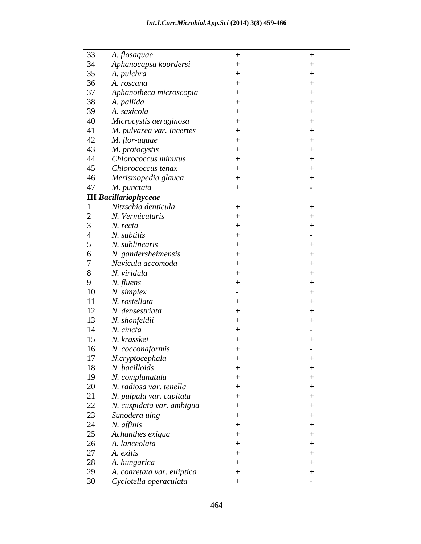| 33              | A. flosaquae                 |  |
|-----------------|------------------------------|--|
| 34              | Aphanocapsa koordersi        |  |
| 35              | A. pulchra                   |  |
| 36              | A. roscana                   |  |
| 37              | Aphanotheca microscopia      |  |
| 38              | A. pallida                   |  |
| 39              | A. saxicola                  |  |
| 40              | Microcystis aeruginosa       |  |
| 41              | M. pulvarea var. Incertes    |  |
| 42              |                              |  |
|                 | M. flor-aquae                |  |
| 43              | M. protocystis               |  |
| 44              | Chlorococcus minutus         |  |
| 45              | Chlorococcus tenax           |  |
| 46              | Merismopedia glauca          |  |
| 47              | M. punctata                  |  |
|                 | <b>III</b> Bacillariophyceae |  |
|                 | Nitzschia denticula          |  |
| 2               | N. Vermicularis              |  |
|                 | N. recta                     |  |
| -4              | N. subtilis                  |  |
| $5\overline{)}$ | N. sublinearis               |  |
| 6               | N. gandersheimensis          |  |
|                 | Navicula accomoda            |  |
|                 | N. viridula                  |  |
| 8               |                              |  |
| 9               | N. fluens                    |  |
| 10              | N. simplex                   |  |
| <sup>11</sup>   | N. rostellata                |  |
| 12              | N. densestriata              |  |
| 13              | N. shonfeldii                |  |
| 14              | N. cincta                    |  |
| 15              | N. krasskei                  |  |
| 16              | N. cocconaformis             |  |
| 17              | N.cryptocephala              |  |
| 18              | N. bacilloids                |  |
| 19              | N. complanatula              |  |
|                 |                              |  |
| 20              | N. radiosa var. tenella      |  |
| 21              | N. pulpula var. capitata     |  |
| 22              | N. cuspidata var. ambigua    |  |
| 23              | Sunodera ulng                |  |
| 24              | N. affinis                   |  |
| 25              | Achanthes exigua             |  |
| 26              | A. lanceolata                |  |
| 27              | A. exilis                    |  |
| 28              | A. hungarica                 |  |
| 29              | A. coaretata var. elliptica  |  |
| 30              | Cyclotella operaculata       |  |
|                 |                              |  |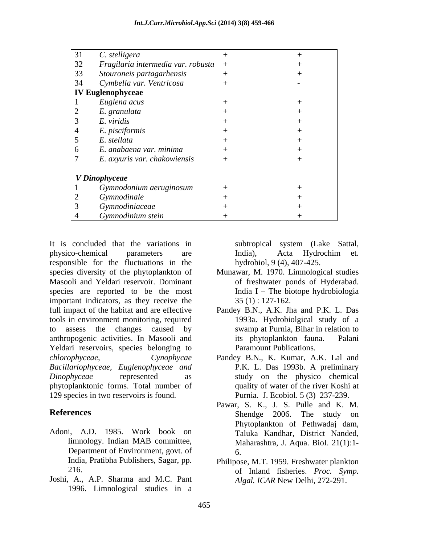| 31 | C. stelligera                        |  |
|----|--------------------------------------|--|
| 32 | Fragilaria intermedia var. robusta + |  |
| 33 | Stouroneis partagarhensis            |  |
| 34 | Cymbella var. Ventricosa             |  |
|    | <b>IV Euglenophyceae</b>             |  |
|    | Euglena acus                         |  |
|    | E. granulata                         |  |
|    | E. viridis                           |  |
|    | E. pisciformis                       |  |
|    | E. stellata                          |  |
|    | E. anabaena var. minima              |  |
|    | E. axyuris var. chakowiensis         |  |
|    |                                      |  |
|    | V Dinophyceae                        |  |
|    | Gymnodonium aeruginosum              |  |
|    | Gymnodinale                          |  |
|    | Gymnodiniaceae                       |  |
|    | Gymnodinium stein                    |  |

It is concluded that the variations in subtropical system (Lake Sattal, physico-chemical parameters are India), Acta Hydrochim et. responsible for the fluctuations in the species diversity of the phytoplankton of Masooli and Yeldari reservoir. Dominant species are reported to be the most important indicators, as they receive the full impact of the habitat and are effective tools in environment monitoring, required to assess the changes caused by anthropogenic activities. In Masooli and Yeldari reservoirs, species belonging to *chlorophyceae, Cynophycae* Pandey B.N., K. Kumar, A.K. Lal and *Bacillariophyceae, Euglenophyceae and Dinophyceae* represented as study on the physico chemical phytoplanktonic forms. Total number of 129 species in two reservoirs is found.

- Adoni, A.D. 1985. Work book on limnology. Indian MAB committee, Department of Environment, govt. of 6.
- Joshi, A., A.P. Sharma and M.C. Pant 1996. Limnological studies in a

subtropical system (Lake Sattal, India), Acta Hydrochim et. hydrobiol, 9 (4), 407-425.

- Munawar, M. 1970. Limnological studies of freshwater ponds of Hyderabad. India I  $-$  The biotope hydrobiologia 35 (1) : 127-162.
- Pandey B.N., A.K. Jha and P.K. L. Das 1993a. Hydrobiolgical study of a swamp at Purnia, Bihar in relation to its phytoplankton fauna. Palani Paramount Publications.
- P.K. L. Das 1993b. A preliminary quality of water of the river Koshi at Purnia. J. Ecobiol. 5 (3) 237-239.
- **References** Shendge 2006. The study on Pawar, S. K., J. S. Pulle and K. M. Phytoplankton of Pethwadaj dam, Taluka Kandhar, District Nanded, Maharashtra, J. Aqua. BioI. 21(1):1- 6.
	- India, Pratibha Publishers, Sagar, pp. Philipose, M.T. 1959. Freshwater plankton 216. of Inland fisheries. *Proc. Symp. Algal. ICAR* New Delhi, 272-291.